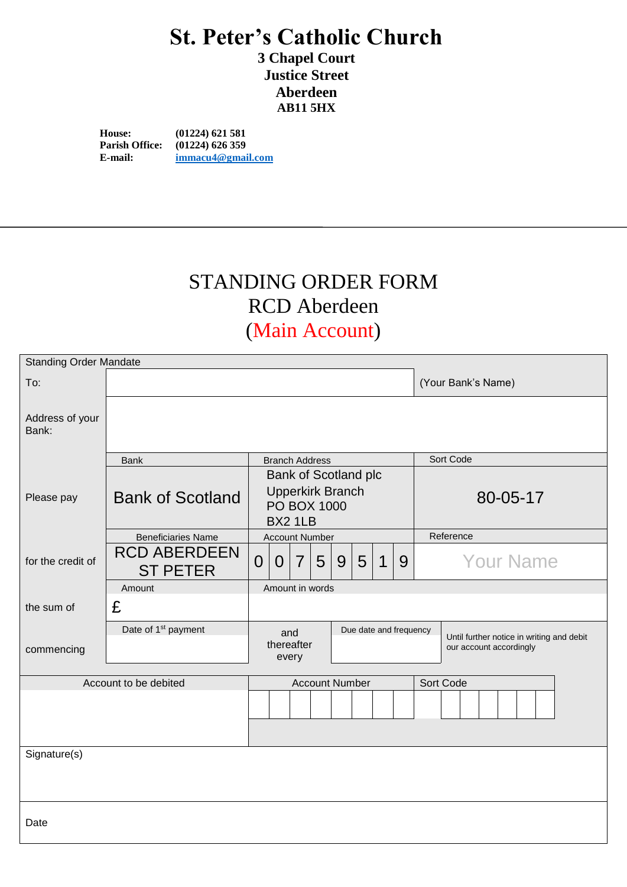## **St. Peter's Catholic Church**

**3 Chapel Court Justice Street Aberdeen AB11 5HX**

**House: (01224) 621 581 Parish Office:** (01224) 626 359<br>**E-mail: immacu4@gmail E-mail: [immacu4@gmail.com](mailto:immacu4@gmail.com)**

# STANDING ORDER FORM RCD Aberdeen

#### (Main Account)

| <b>Standing Order Mandate</b> |                                        |                                                                                         |                |                |   |   |   |                |   |                  |                                                                      |  |  |  |  |  |  |  |
|-------------------------------|----------------------------------------|-----------------------------------------------------------------------------------------|----------------|----------------|---|---|---|----------------|---|------------------|----------------------------------------------------------------------|--|--|--|--|--|--|--|
| To:                           |                                        |                                                                                         |                |                |   |   |   |                |   |                  | (Your Bank's Name)                                                   |  |  |  |  |  |  |  |
| Address of your<br>Bank:      |                                        |                                                                                         |                |                |   |   |   |                |   |                  |                                                                      |  |  |  |  |  |  |  |
|                               | <b>Bank</b>                            | <b>Branch Address</b>                                                                   |                |                |   |   |   |                |   |                  | Sort Code                                                            |  |  |  |  |  |  |  |
| Please pay                    | <b>Bank of Scotland</b>                | <b>Bank of Scotland plc</b><br><b>Upperkirk Branch</b><br><b>PO BOX 1000</b><br>BX2 1LB |                |                |   |   |   |                |   |                  | 80-05-17                                                             |  |  |  |  |  |  |  |
|                               | <b>Beneficiaries Name</b>              | <b>Account Number</b>                                                                   |                |                |   |   |   |                |   |                  | Reference                                                            |  |  |  |  |  |  |  |
| for the credit of             | <b>RCD ABERDEEN</b><br><b>ST PETER</b> | $\overline{0}$                                                                          | $\overline{0}$ | $\overline{7}$ | 5 | 9 | 5 | $\overline{1}$ | 9 | <b>Your Name</b> |                                                                      |  |  |  |  |  |  |  |
|                               | Amount                                 | Amount in words                                                                         |                |                |   |   |   |                |   |                  |                                                                      |  |  |  |  |  |  |  |
| the sum of                    | £                                      |                                                                                         |                |                |   |   |   |                |   |                  |                                                                      |  |  |  |  |  |  |  |
| commencing                    | Date of 1 <sup>st</sup> payment        | Due date and frequency<br>and<br>thereafter<br>every                                    |                |                |   |   |   |                |   |                  | Until further notice in writing and debit<br>our account accordingly |  |  |  |  |  |  |  |
| Account to be debited         |                                        | Sort Code                                                                               |                |                |   |   |   |                |   |                  |                                                                      |  |  |  |  |  |  |  |
|                               |                                        |                                                                                         |                |                |   |   |   |                |   |                  |                                                                      |  |  |  |  |  |  |  |
| Signature(s)                  |                                        |                                                                                         |                |                |   |   |   |                |   |                  |                                                                      |  |  |  |  |  |  |  |
|                               |                                        |                                                                                         |                |                |   |   |   |                |   |                  |                                                                      |  |  |  |  |  |  |  |
| Date                          |                                        |                                                                                         |                |                |   |   |   |                |   |                  |                                                                      |  |  |  |  |  |  |  |